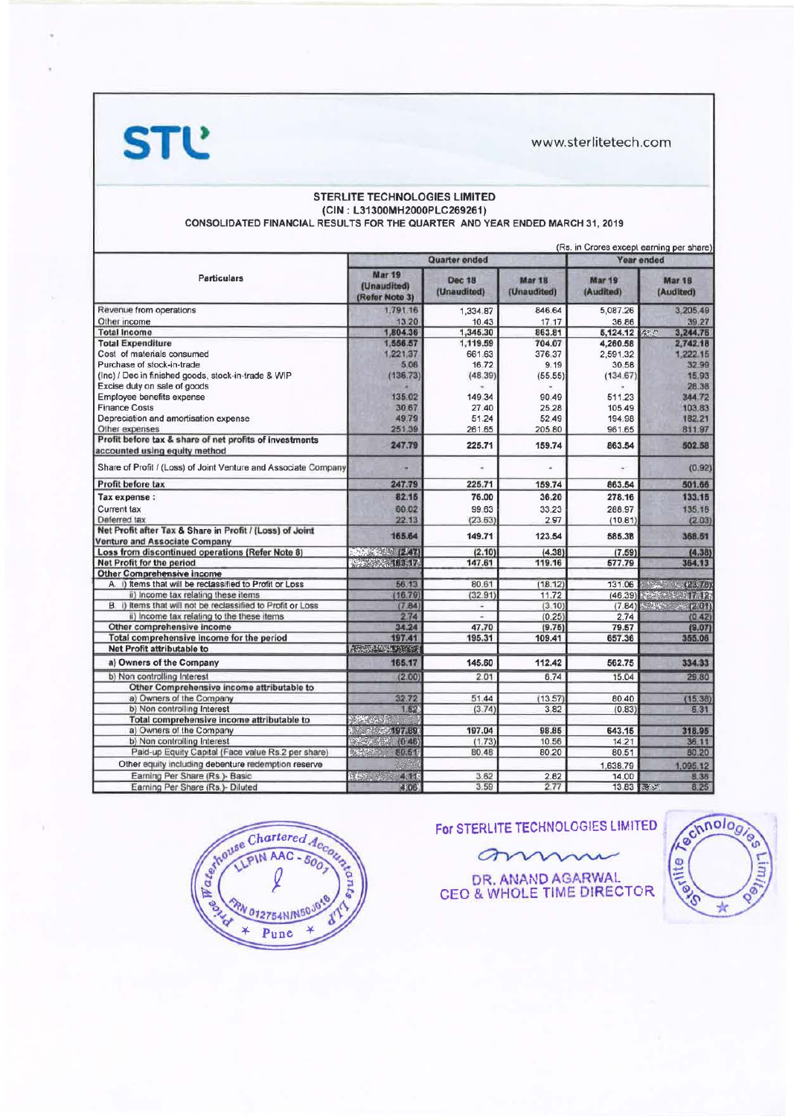**STL** 

www.sterlitetech.com

### STERLITE TECHNOLOGIES LIMITED (CIN: L31300MH2000PLC269261) CONSOLIDATED FINANCIAL RESULTS FOR THE QUARTER AND YEAR ENDED MARCH 31, 2019

|                                                                                                  | (R.s. in Grores except earning per share)<br>Quarter ended<br><b>Year ended</b> |                              |                                  |                     |                                                                                                   |  |
|--------------------------------------------------------------------------------------------------|---------------------------------------------------------------------------------|------------------------------|----------------------------------|---------------------|---------------------------------------------------------------------------------------------------|--|
|                                                                                                  |                                                                                 |                              |                                  |                     |                                                                                                   |  |
| <b>Particulars</b>                                                                               | Mar 19<br>(Unaudited)<br>(Refer Note 3)                                         | <b>Dec 18</b><br>(Unaudited) | Mar <sub>18</sub><br>(Unaudited) | Mar 19<br>(Audited) | <b>Mar 18</b><br>(Audited)                                                                        |  |
| Revenue from operations                                                                          | 1,791.16                                                                        | 1,334.87                     | 846.64                           | 5,087.26            | 3,205.49                                                                                          |  |
| Other income                                                                                     | 13.20                                                                           | 10.43                        | 17.17                            | 36.86               | 39.27                                                                                             |  |
| <b>Total Income</b>                                                                              | 1,804.36                                                                        | 1,345.30                     | 863.81                           | 5,124.12            | 3,244.76<br>1255                                                                                  |  |
| <b>Total Expenditure</b>                                                                         | 1,556.57                                                                        | 1,119.59                     | 704.07                           | 4,260.58            | 2,742.18                                                                                          |  |
| Cost of materials consumed                                                                       | 1,221.37                                                                        | 661.63                       | 376.37                           | 2,591.32            | 1,222.15                                                                                          |  |
| Purchase of stock-in-trade                                                                       | 5.06                                                                            | 16.72                        | 9.19                             | 30.58               | 32.99                                                                                             |  |
| (Inc) / Dec in finished goods, stock-in-trade & WIP                                              | (136.73)                                                                        | (48.39)                      | (55.55)                          | (134.67)            | 15.93                                                                                             |  |
| Excise duty on sale of goods                                                                     |                                                                                 |                              |                                  |                     | 28.38                                                                                             |  |
| Employee benefits expense                                                                        | 135.02                                                                          | 149.34                       | 90.49                            | 511.23              | 344.72                                                                                            |  |
| <b>Finance Costs</b>                                                                             | 30.67                                                                           | 27.40                        | 25.28                            | 105.49              | 103.83                                                                                            |  |
| Depreciation and amortisation expense                                                            | 49.79                                                                           | 51.24                        | 52.49                            | 194.98              | 182.21                                                                                            |  |
| Other expenses                                                                                   | 251.39                                                                          | 261.65                       | 205.80                           | 961.65              | 811.97                                                                                            |  |
| Profit before tax & share of net profits of investments<br>accounted using equity method         | 247.79                                                                          | 225.71                       | 159.74                           | 863.54              | 502.58                                                                                            |  |
| Share of Profit / (Loss) of Joint Venture and Associate Company                                  |                                                                                 |                              | $\sim$                           | $\star$             | (0.92)                                                                                            |  |
| Profit before tax                                                                                | 247.79                                                                          | 225.71                       | 159.74                           | 863.54              | 501.66                                                                                            |  |
| Tax expense :                                                                                    | 82.15                                                                           | 76.00                        | 36.20                            | 278.16              | 133.15                                                                                            |  |
| Current tax                                                                                      | 60.02                                                                           | 99.63                        | 33.23                            | 288.97              | 135.18                                                                                            |  |
| Deferred tax                                                                                     | 22.13                                                                           | (23.63)                      | 297                              | (10.81)             | (2.03)                                                                                            |  |
| Net Profit after Tax & Share in Profit / (Loss) of Joint<br><b>Venture and Associate Company</b> | 165.64                                                                          | 149.71                       | 123.54                           | 585.38              | 368.51                                                                                            |  |
| Loss from discontinued operations (Refer Note 8)                                                 | 28 27 27 1                                                                      | (2.10)                       | (4.38)                           | (7.59)              | (4.38)                                                                                            |  |
| Net Profit for the period                                                                        |                                                                                 | 147.61                       | 119.16                           | 577.79              | 364.13                                                                                            |  |
| <b>Other Comprehensive income</b>                                                                |                                                                                 |                              |                                  |                     |                                                                                                   |  |
| A. i) Items that will be reclassified to Profit or Loss                                          | 56.13                                                                           | 80.61                        | (18.12)                          | 131.06              | $\frac{1}{2}$ $\frac{1}{2}$ $\frac{1}{2}$ $\frac{1}{2}$ $\frac{1}{2}$ $\frac{1}{2}$ $\frac{1}{2}$ |  |
| ii) Income tax relating these items                                                              | (16, 79)                                                                        | (32.91)                      | 11.72                            | (46.39)             | $W_1 \times W_2 \times W_3$                                                                       |  |
| B. i) Items that will not be reclassified to Profit or Loss                                      | (784)                                                                           | ٠                            | (3.10)                           |                     | $(7.84)$ $(2.01)$                                                                                 |  |
| ii) Income tax relating to the these items                                                       | 2.74                                                                            | ÷                            | (0.25)                           | 2.74                | (0.42)                                                                                            |  |
| Other comprehensive income                                                                       | 34.24                                                                           | 47.70                        | (9.75)                           | 79.57               | (9.07)                                                                                            |  |
| Total comprehensive income for the period                                                        | 197.41                                                                          | 195.31                       | 109.41                           | 657.36              | 355.06                                                                                            |  |
| Net Profit attributable to                                                                       | 经数据集的                                                                           |                              |                                  |                     |                                                                                                   |  |
| a) Owners of the Company                                                                         | 165.17                                                                          | 145.60                       | 112.42                           | 562.75              | 334.33                                                                                            |  |
| b) Non controlling Interest                                                                      | (2.00)                                                                          | 2.01                         | 6.74                             | 15.04               | 29.80                                                                                             |  |
| Other Comprehensive income attributable to                                                       |                                                                                 |                              |                                  |                     |                                                                                                   |  |
| a) Owners of the Company                                                                         | 32.72                                                                           | 51.44                        | (13.57)                          | 80.40               | (15.38)                                                                                           |  |
| b) Non controlling Interest                                                                      | 1.52.                                                                           | (3.74)                       | 3.82                             | (0.83)              | 6.31                                                                                              |  |
| Total comprehensive income attributable to                                                       | <b>SALCONE</b>                                                                  |                              |                                  |                     |                                                                                                   |  |
| a) Owners of the Company                                                                         | <b>Massic Cool Provide</b>                                                      | 197.04                       | 98.85                            | 643.15              | 318.95                                                                                            |  |
| b) Non controlling Interest                                                                      | $(25.5)$ and $(25.5)$<br>(048)                                                  | (1.73)                       | 10.56                            | 14.21               | 36.11                                                                                             |  |
| Paid-up Equity Capital (Face value Rs.2 per share)                                               | 80.51<br>$\mathcal{H}^{\text{c}}(\mathcal{D}^{\text{c}})$ .                     | 80.48                        | 80.20                            | 80.51               | 80.20                                                                                             |  |
| Other equity including debenture redemption reserve                                              |                                                                                 |                              |                                  | 1,638.79            | 1,095.12                                                                                          |  |
| Earning Per Share (Rs.) - Basic                                                                  | → 大の シーズー<br>4.11.                                                              | 3.62                         | 2.82                             | 14.00               | 8.36                                                                                              |  |
| Earning Per Share (Rs.)- Diluted                                                                 | 4.06                                                                            | 3.59                         | 2.77                             | 13.83 涨步            | 8.25                                                                                              |  |



For STERLITE TECHNOLOGIES LIMITED

ann

DR. ANAND AGARWAL<br>CEO & WHOLE TIME DIRECTOR

Eschnologie Calling  $\star$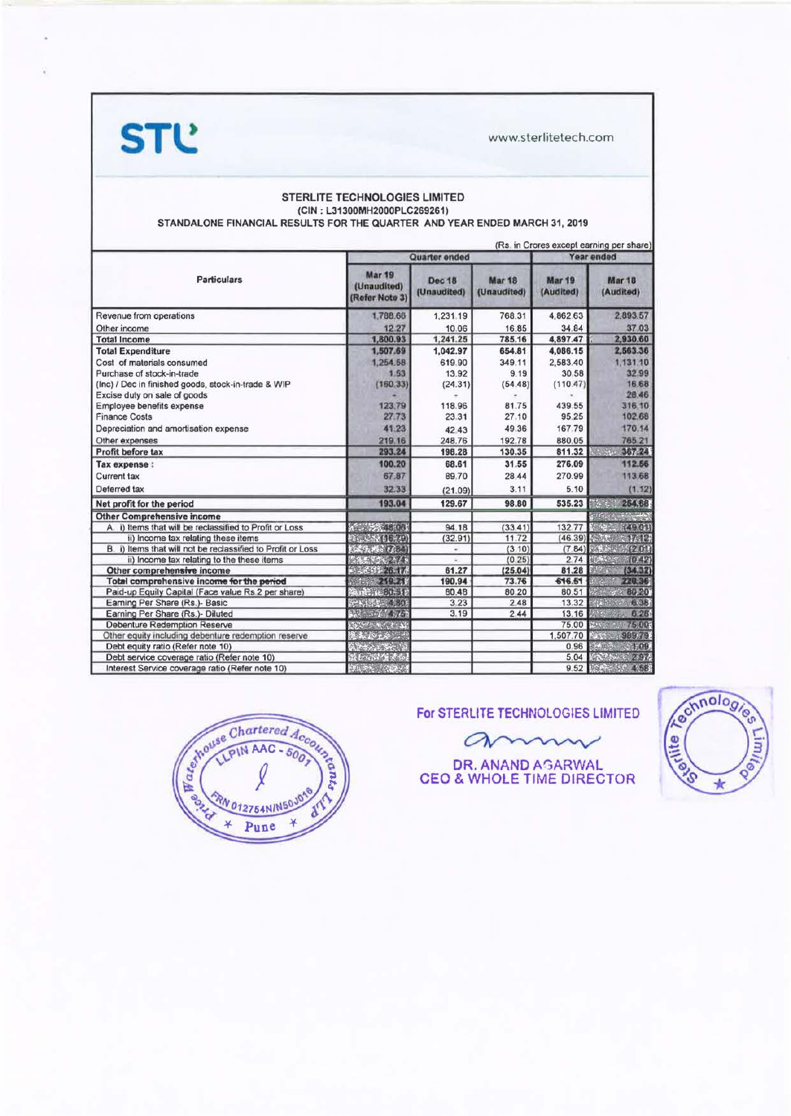**STL** 

www.sterlitetech.com

#### STERLITE TECHNOLOGIES LIMITED (CIN: L31300MH2000PLC269261) STANDALONE FINANCIAL RESULTS FOR THE QUARTER AND YEAR ENDED MARCH 31, 2019

|                                                             |                                                |                              |                              |                     | (Rs. in Crores except earning per share) |
|-------------------------------------------------------------|------------------------------------------------|------------------------------|------------------------------|---------------------|------------------------------------------|
|                                                             |                                                | Quarter ended                | Year ended                   |                     |                                          |
| <b>Particulars</b>                                          | <b>Mar 19</b><br>(Unaudited)<br>(Refer Note 3) | <b>Dec 18</b><br>(Unaudited) | <b>Mar 18</b><br>(Unaudited) | Mar 19<br>(Audited) | <b>Mar 18</b><br>(Audited)               |
| Revenue from operations                                     | 1,788.66                                       | 1,231.19                     | 768.31                       | 4,862.63            | 2,893.57                                 |
| Other income                                                | 12.27                                          | 10.06                        | 16.85                        | 34.84               | 37.03                                    |
| <b>Total Income</b>                                         | 1,800.93                                       | 1,241.25                     | 785.16                       | 4,897.47            | 2,930.60                                 |
| <b>Total Expenditure</b>                                    | 1,507.69                                       | 1,042.97                     | 654.81                       | 4,086.15            | 2,563.36                                 |
| Cost of materials consumed                                  | 1,254.58                                       | 619.90                       | 349.11                       | 2,583.40            | 1,131.10                                 |
| Purchase of stock-in-trade                                  | 1.53                                           | 13.92                        | 9.19                         | 30.58               | 32.99                                    |
| (Inc) / Dec in finished goods, stock-in-trade & WIP         | (160.33)                                       | (24.31)                      | (54.48)                      | (110.47)            | 16.68                                    |
| Excise duty on sale of goods                                |                                                |                              |                              |                     | 28.46                                    |
| Employee benefits expense                                   | 123.79                                         | 118.96                       | 81.75                        | 439.55              | 316.10                                   |
| <b>Finance Costs</b>                                        | 2773                                           | 23.31                        | 27.10                        | 95.25               | 102.68                                   |
| Depreciation and amortisation expense                       | 41.23                                          | 42.43                        | 49.36                        | 167.79              | 170.14                                   |
| Other expenses                                              | 219.16                                         | 248.76                       | 192.78                       | 880.05              | 765.21                                   |
| Profit before tax                                           | 293.24                                         | 198.28                       | 130.35                       | 811.32              | 5.5<br>367.24                            |
| Tax expense :                                               | 100.20                                         | 68.61                        | 31.55                        | 276.09              | 112.56                                   |
| <b>Current tax</b>                                          | 67.87                                          | 89.70                        | 28.44                        | 270.99              | 113.68                                   |
| Deferred tax                                                | 32.33                                          | (21.09)                      | 3.11                         | 5.10                | (1.12)                                   |
| Net profit for the period                                   | 193.04                                         | 129.67                       | 98.80                        | 535.23              | 254.68                                   |
| <b>Other Comprehensive income</b>                           |                                                |                              |                              |                     |                                          |
| A. i) Items that will be reclassified to Profit or Loss     | A 34 15 061                                    | 94.18                        | (33.41)                      | 13277               | (490)                                    |
| ii) Income tax relating these items                         | <b>Kitchen (1674)</b>                          | (32.91)                      | 11.72                        | (46.39)             | 17.12                                    |
| B. i) Items that will not be reclassified to Profit or Loss | 「高大橋」 (人間)                                     | ۰                            | (3.10)                       | (7.84)              | (201)                                    |
| ii) Income tax relating to the these items                  |                                                |                              | (0.25)                       | 2.74                | (0.42)<br><b>MAGES</b>                   |
| Other comprehensive income                                  | 26.17                                          | 61.27                        | (25.04)                      | 81.28               | (34, 32)<br><b>After</b>                 |
| Total comprehensive income for the period                   | 219.21                                         | 190.94                       | 73.76                        | 616.51              | 220.36                                   |
| Paid-up Equity Capital (Face value Rs 2 per share)          | <b>VAIRT 4: BU-51</b>                          | 80.48                        | 80.20                        | 80.51               | 80.20                                    |
| Earning Per Share (Rs.)- Basic                              | SHK43530 4 801                                 | 3.23                         | 2.48                         | 13.32               | 6.38                                     |
| Earning Per Share (Rs.)- Diluted                            |                                                | 3.19                         | 2.44                         | 13.16               | 6.28                                     |
| <b>Debenture Redemption Reserve</b>                         |                                                |                              |                              | 75.00               | 75.00                                    |
| Other equity including debenture redemption reserve         | 公政                                             |                              |                              | 1,507.70            | 989.79<br><b>Trad</b>                    |
| Debt equity ratio (Refer note 10)                           |                                                |                              |                              | 0.96                | 1,09                                     |
| Debt service coverage ratio (Refer note 10)                 | Ste Done King                                  |                              |                              | 5.04                | 2.97                                     |
| Interest Service coverage ratio (Refer note 10)             | $J_{\rm{c}}$ (FM $>$ $J_{\rm{c}}$              |                              |                              | 9.52                | 4.58                                     |



## For STERLITE TECHNOLOGIES LIMITED

amm

DR. ANAND AGARWAL<br>CEO & WHOLE TIME DIRECTOR

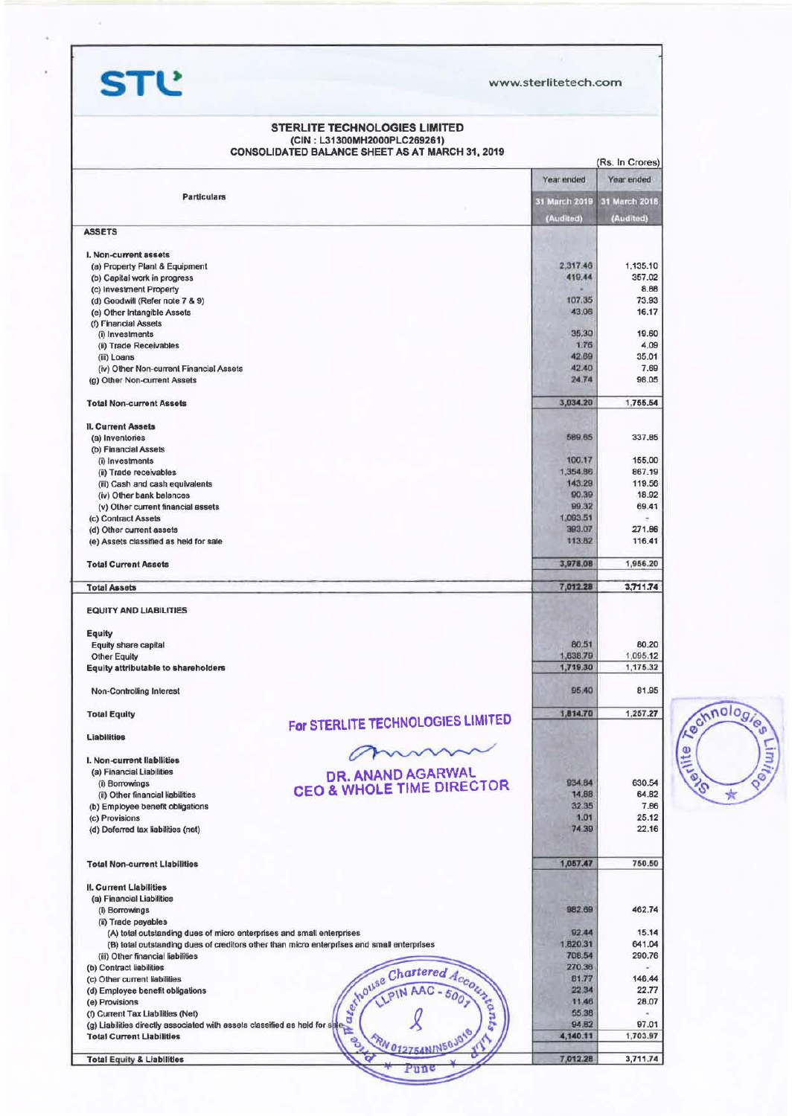**STl!** www.sterlitetech.com

#### STERLITE TECHNOLOGIES LIMITED (CIN: L31300MH2000PLC269261) CONSOLIDATED BALANCE SHEET AS AT MARCH 31, 2019

|                                                                                                                 |                                                                                            |                      | (Rs. In Crores)      |
|-----------------------------------------------------------------------------------------------------------------|--------------------------------------------------------------------------------------------|----------------------|----------------------|
|                                                                                                                 |                                                                                            | Year ended           | Year ended           |
| <b>Particulars</b>                                                                                              |                                                                                            | 31 March 2019        | 31 March 2018        |
|                                                                                                                 |                                                                                            | (Audited)            | (Audited)            |
| <b>ASSETS</b>                                                                                                   |                                                                                            |                      |                      |
|                                                                                                                 |                                                                                            |                      |                      |
| I. Non-current assets                                                                                           |                                                                                            |                      |                      |
| (a) Property Plant & Equipment                                                                                  |                                                                                            | 2,317.46<br>419.44   | 1,135.10<br>357.02   |
| (b) Capital work in progress<br>(c) Investment Property                                                         |                                                                                            |                      | 8.66                 |
| (d) Goodwill (Refer note 7 & 9)                                                                                 |                                                                                            | 107.35               | 73.93                |
| (e) Other Intangible Assets                                                                                     |                                                                                            | 43.06                | 16.17                |
| (f) Financial Assets                                                                                            |                                                                                            |                      |                      |
| (i) Investments                                                                                                 |                                                                                            | 35,30                | 19.60                |
| (ii) Trade Receivables                                                                                          |                                                                                            | 1.76                 | 4.09                 |
| (iii) Loans                                                                                                     |                                                                                            | 42.69                | 35.01                |
| (iv) Other Non-current Financial Assets                                                                         |                                                                                            | 42.40                | 7.69                 |
| (g) Other Non-current Assets                                                                                    |                                                                                            | 24.74                | 98.05                |
| <b>Total Non-current Assets</b>                                                                                 |                                                                                            | 3,034.20             | 1,755.54             |
| <b>II. Current Assets</b>                                                                                       |                                                                                            |                      |                      |
| (a) Inventories                                                                                                 |                                                                                            | 589.65               | 337.85               |
| (b) Financial Assets                                                                                            |                                                                                            |                      |                      |
| (i) Investments                                                                                                 |                                                                                            | 100.17               | 155.00               |
| (ii) Trade receivables                                                                                          |                                                                                            | 1,354.86             | 867.19               |
| (iii) Cash and cash equivalents                                                                                 |                                                                                            | 143.29               | 119.56               |
| (iv) Other bank balances                                                                                        |                                                                                            | 90.39                | 18.92                |
| (v) Other current financial assets                                                                              |                                                                                            | 99.32                | 69.41                |
| (c) Contract Assets                                                                                             |                                                                                            | 1,093.51             |                      |
| (d) Other current assets                                                                                        |                                                                                            | 393.07               | 271.86               |
| (e) Assets classified as held for sale                                                                          |                                                                                            | 113.82               | 116.41               |
| <b>Total Current Assets</b>                                                                                     |                                                                                            | 3,978.08             | 1,956.20             |
| <b>Total Assets</b>                                                                                             |                                                                                            | 7,012.28             | 3,711.74             |
| <b>EQUITY AND LIABILITIES</b>                                                                                   |                                                                                            |                      |                      |
|                                                                                                                 |                                                                                            |                      |                      |
| Equity                                                                                                          |                                                                                            |                      |                      |
| Equity share capital                                                                                            |                                                                                            | 80.51                | 80,20                |
| <b>Other Equity</b><br>Equity attributable to shareholders                                                      |                                                                                            | 1,638.79<br>1,719.30 | 1,095.12<br>1,175.32 |
|                                                                                                                 |                                                                                            |                      |                      |
| Non-Controlling Interest                                                                                        |                                                                                            | 95.40                | 81.95                |
| <b>Total Equity</b>                                                                                             |                                                                                            | 1,814.70             | 1,257.27             |
| <b>Liabilities</b>                                                                                              | For STERLITE TECHNOLOGIES LIMITED                                                          |                      |                      |
|                                                                                                                 | mm                                                                                         |                      |                      |
| I. Non-current liabilities                                                                                      |                                                                                            |                      |                      |
| (a) Financial Liabilities                                                                                       | DR. ANAND AGARWAL                                                                          |                      |                      |
| (i) Borrowings                                                                                                  | <b>CEO &amp; WHOLE TIME DIRECTOR</b>                                                       | 934.84               | 630.54               |
| (ii) Other financial liabilities                                                                                |                                                                                            | 14.88                | 64.82                |
| (b) Employee benefit obligations                                                                                |                                                                                            | 32.35                | 7.66                 |
| (c) Provisions                                                                                                  |                                                                                            | 1.01                 | 25.12                |
| (d) Deferred tax liabilities (net)                                                                              |                                                                                            | 74.39                | 22.16                |
| <b>Total Non-current Liabilities</b>                                                                            |                                                                                            | 1,057.47             | 750.50               |
| <b>II. Current Llabilities</b>                                                                                  |                                                                                            |                      |                      |
| (a) Financial Liabilities                                                                                       |                                                                                            |                      |                      |
| (i) Borrowings                                                                                                  |                                                                                            | 982.69               | 462.74               |
| (ii) Trade payables                                                                                             |                                                                                            |                      |                      |
| (A) total outstanding dues of micro enterprises and small enterprises                                           |                                                                                            | 92.44                | 15.14                |
|                                                                                                                 | (B) total outstanding dues of creditors other than micro enterprises and small enterprises | 1,820.31             | 641.04               |
| (iii) Other financial liabilities                                                                               |                                                                                            | 708.54               | 290.76               |
| (b) Contract liabilities                                                                                        |                                                                                            | 270.36               |                      |
| (c) Other current liabilities                                                                                   |                                                                                            | 81.77                | 146.44               |
| (d) Employee benefit obligations                                                                                |                                                                                            | 22.34                | 22.77                |
| (e) Provisions                                                                                                  |                                                                                            | 11.46                | 28.07                |
| (f) Current Tax Liabilities (Net)                                                                               |                                                                                            | 55.38                |                      |
| (g) Liabilities directly associated with assets classified as held for safe<br><b>Total Current Liabilities</b> | shouse Chartered Account                                                                   | 94,82<br>4,140.11    | 97.01<br>1,703.97    |
|                                                                                                                 | RN 012754NIN50JOY<br><b>BO</b>                                                             | 7,012.28             |                      |
| <b>Total Equity &amp; Liabilities</b>                                                                           |                                                                                            |                      | 3,711.74             |

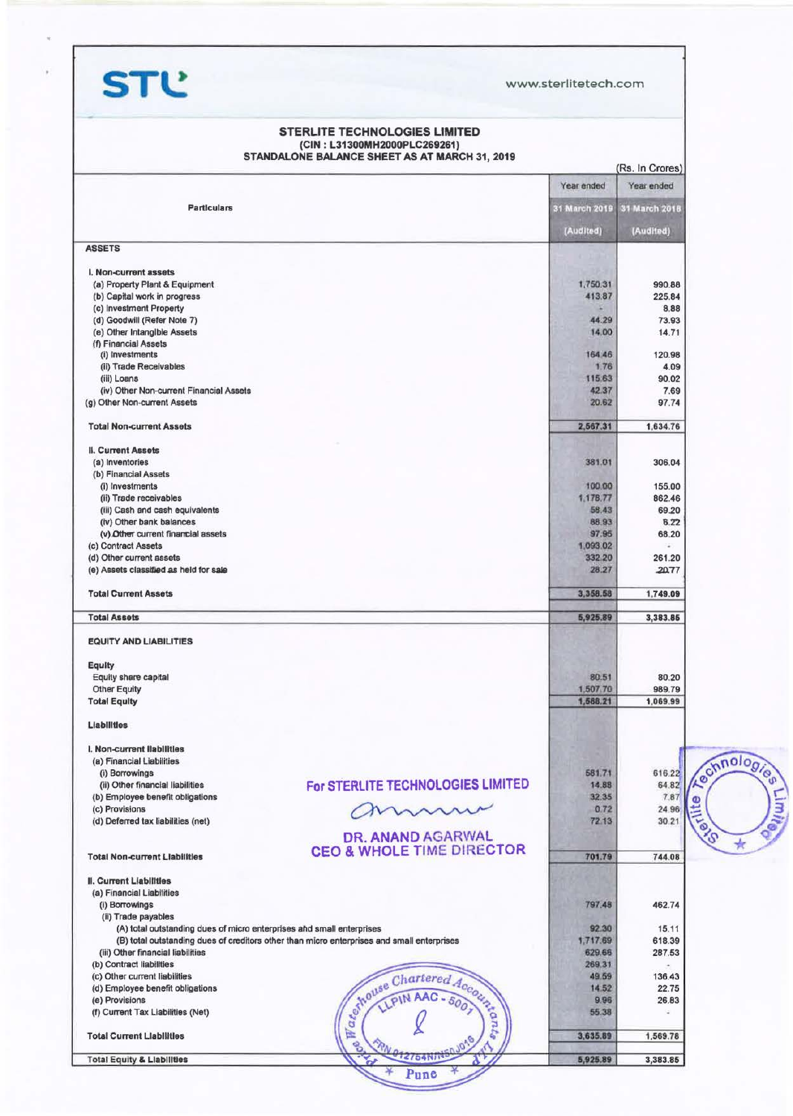**STl!** www.sterlitetech.com

| Year ended<br>Year ended<br><b>Particulars</b><br>31 March 2018<br>31 March 2019<br>(Audited)<br>(Audited)<br>(a) Property Plant & Equipment<br>1,750.31<br>990.88<br>225.84<br>(b) Capital work in progress<br>413.87<br>(c) Investment Property<br>8.88<br>44.29<br>(d) Goodwill (Refer Note 7)<br>73.93<br>14.00<br>164.46<br>1.76<br>(ii) Trade Receivables<br>4.09<br>(iii) Loans<br>115.63<br>90.02<br>(iv) Other Non-current Financial Assets<br>42.37<br>7.69<br>20.62<br>2,567.31<br>381.01<br>(b) Financial Assets<br>(i) Investments<br>100.00<br>155.00<br>1,178.77<br>862.46<br>(ii) Trade receivables<br>69.20<br>(iii) Cash and cash equivalents<br>58.43<br>88.93<br>(iv) Other bank balances<br>97.95<br>1,093.02<br>÷.<br>332 20<br>(e) Assets classified as held for sale<br>28.27<br>20.77<br>3,358.58<br>5,925.89<br>80.51<br>1,507.70<br>1,588.21<br>1,069.99<br>581.71<br>616.22<br>(i) Borrowings<br>For STERLITE TECHNOLOGIES LIMITED<br>64.82<br>(ii) Other financial liabilities<br>14.88<br>32.35<br>(b) Employee benefit obligations<br>mmmm<br>0.72<br>72.13<br>DR. ANAND AGARWAL<br><b>CEO &amp; WHOLE TIME DIRECTOR</b><br>701.79<br>797.48<br>(ii) Trade payables<br>92.30<br>15.11<br>(A) total outstanding dues of micro enterprises and small enterprises<br>(B) total outstanding dues of creditors other than micro enterprises and small enterprises<br>1,717.69<br>618.39<br>(iii) Other financial liabilities<br>287.53<br>629.66<br>(b) Contract liabilities<br>269.31<br>49.59<br>Schouse Chartered Account<br>14.52<br>9.96<br>55.38<br>医<br>3,635.89<br>eg.<br><b>Total Equity &amp; Liabilities</b> |                                      | (CIN: L31300MH2000PLC269261)<br>STANDALONE BALANCE SHEET AS AT MARCH 31, 2019 |          |                 |
|---------------------------------------------------------------------------------------------------------------------------------------------------------------------------------------------------------------------------------------------------------------------------------------------------------------------------------------------------------------------------------------------------------------------------------------------------------------------------------------------------------------------------------------------------------------------------------------------------------------------------------------------------------------------------------------------------------------------------------------------------------------------------------------------------------------------------------------------------------------------------------------------------------------------------------------------------------------------------------------------------------------------------------------------------------------------------------------------------------------------------------------------------------------------------------------------------------------------------------------------------------------------------------------------------------------------------------------------------------------------------------------------------------------------------------------------------------------------------------------------------------------------------------------------------------------------------------------------------------------------------------------------------|--------------------------------------|-------------------------------------------------------------------------------|----------|-----------------|
|                                                                                                                                                                                                                                                                                                                                                                                                                                                                                                                                                                                                                                                                                                                                                                                                                                                                                                                                                                                                                                                                                                                                                                                                                                                                                                                                                                                                                                                                                                                                                                                                                                                   |                                      |                                                                               |          | (Rs. In Crores) |
|                                                                                                                                                                                                                                                                                                                                                                                                                                                                                                                                                                                                                                                                                                                                                                                                                                                                                                                                                                                                                                                                                                                                                                                                                                                                                                                                                                                                                                                                                                                                                                                                                                                   |                                      |                                                                               |          |                 |
|                                                                                                                                                                                                                                                                                                                                                                                                                                                                                                                                                                                                                                                                                                                                                                                                                                                                                                                                                                                                                                                                                                                                                                                                                                                                                                                                                                                                                                                                                                                                                                                                                                                   |                                      |                                                                               |          |                 |
|                                                                                                                                                                                                                                                                                                                                                                                                                                                                                                                                                                                                                                                                                                                                                                                                                                                                                                                                                                                                                                                                                                                                                                                                                                                                                                                                                                                                                                                                                                                                                                                                                                                   |                                      |                                                                               |          |                 |
|                                                                                                                                                                                                                                                                                                                                                                                                                                                                                                                                                                                                                                                                                                                                                                                                                                                                                                                                                                                                                                                                                                                                                                                                                                                                                                                                                                                                                                                                                                                                                                                                                                                   | <b>ASSETS</b>                        |                                                                               |          |                 |
|                                                                                                                                                                                                                                                                                                                                                                                                                                                                                                                                                                                                                                                                                                                                                                                                                                                                                                                                                                                                                                                                                                                                                                                                                                                                                                                                                                                                                                                                                                                                                                                                                                                   | I. Non-current assets                |                                                                               |          |                 |
|                                                                                                                                                                                                                                                                                                                                                                                                                                                                                                                                                                                                                                                                                                                                                                                                                                                                                                                                                                                                                                                                                                                                                                                                                                                                                                                                                                                                                                                                                                                                                                                                                                                   |                                      |                                                                               |          |                 |
|                                                                                                                                                                                                                                                                                                                                                                                                                                                                                                                                                                                                                                                                                                                                                                                                                                                                                                                                                                                                                                                                                                                                                                                                                                                                                                                                                                                                                                                                                                                                                                                                                                                   |                                      |                                                                               |          |                 |
|                                                                                                                                                                                                                                                                                                                                                                                                                                                                                                                                                                                                                                                                                                                                                                                                                                                                                                                                                                                                                                                                                                                                                                                                                                                                                                                                                                                                                                                                                                                                                                                                                                                   |                                      |                                                                               |          |                 |
|                                                                                                                                                                                                                                                                                                                                                                                                                                                                                                                                                                                                                                                                                                                                                                                                                                                                                                                                                                                                                                                                                                                                                                                                                                                                                                                                                                                                                                                                                                                                                                                                                                                   | (e) Other Intangible Assets          |                                                                               |          | 14.71           |
|                                                                                                                                                                                                                                                                                                                                                                                                                                                                                                                                                                                                                                                                                                                                                                                                                                                                                                                                                                                                                                                                                                                                                                                                                                                                                                                                                                                                                                                                                                                                                                                                                                                   | (f) Financial Assets                 |                                                                               |          |                 |
|                                                                                                                                                                                                                                                                                                                                                                                                                                                                                                                                                                                                                                                                                                                                                                                                                                                                                                                                                                                                                                                                                                                                                                                                                                                                                                                                                                                                                                                                                                                                                                                                                                                   | (i) Investments                      |                                                                               |          | 120.98          |
|                                                                                                                                                                                                                                                                                                                                                                                                                                                                                                                                                                                                                                                                                                                                                                                                                                                                                                                                                                                                                                                                                                                                                                                                                                                                                                                                                                                                                                                                                                                                                                                                                                                   |                                      |                                                                               |          |                 |
|                                                                                                                                                                                                                                                                                                                                                                                                                                                                                                                                                                                                                                                                                                                                                                                                                                                                                                                                                                                                                                                                                                                                                                                                                                                                                                                                                                                                                                                                                                                                                                                                                                                   |                                      |                                                                               |          |                 |
|                                                                                                                                                                                                                                                                                                                                                                                                                                                                                                                                                                                                                                                                                                                                                                                                                                                                                                                                                                                                                                                                                                                                                                                                                                                                                                                                                                                                                                                                                                                                                                                                                                                   | (g) Other Non-current Assets         |                                                                               |          | 97.74           |
|                                                                                                                                                                                                                                                                                                                                                                                                                                                                                                                                                                                                                                                                                                                                                                                                                                                                                                                                                                                                                                                                                                                                                                                                                                                                                                                                                                                                                                                                                                                                                                                                                                                   |                                      |                                                                               |          |                 |
|                                                                                                                                                                                                                                                                                                                                                                                                                                                                                                                                                                                                                                                                                                                                                                                                                                                                                                                                                                                                                                                                                                                                                                                                                                                                                                                                                                                                                                                                                                                                                                                                                                                   | <b>Total Non-current Assets</b>      |                                                                               |          | 1,634.76        |
|                                                                                                                                                                                                                                                                                                                                                                                                                                                                                                                                                                                                                                                                                                                                                                                                                                                                                                                                                                                                                                                                                                                                                                                                                                                                                                                                                                                                                                                                                                                                                                                                                                                   | II. Current Assets                   |                                                                               |          |                 |
|                                                                                                                                                                                                                                                                                                                                                                                                                                                                                                                                                                                                                                                                                                                                                                                                                                                                                                                                                                                                                                                                                                                                                                                                                                                                                                                                                                                                                                                                                                                                                                                                                                                   | (a) Inventories                      |                                                                               |          | 306.04          |
|                                                                                                                                                                                                                                                                                                                                                                                                                                                                                                                                                                                                                                                                                                                                                                                                                                                                                                                                                                                                                                                                                                                                                                                                                                                                                                                                                                                                                                                                                                                                                                                                                                                   |                                      |                                                                               |          |                 |
|                                                                                                                                                                                                                                                                                                                                                                                                                                                                                                                                                                                                                                                                                                                                                                                                                                                                                                                                                                                                                                                                                                                                                                                                                                                                                                                                                                                                                                                                                                                                                                                                                                                   |                                      |                                                                               |          |                 |
|                                                                                                                                                                                                                                                                                                                                                                                                                                                                                                                                                                                                                                                                                                                                                                                                                                                                                                                                                                                                                                                                                                                                                                                                                                                                                                                                                                                                                                                                                                                                                                                                                                                   |                                      |                                                                               |          |                 |
|                                                                                                                                                                                                                                                                                                                                                                                                                                                                                                                                                                                                                                                                                                                                                                                                                                                                                                                                                                                                                                                                                                                                                                                                                                                                                                                                                                                                                                                                                                                                                                                                                                                   |                                      |                                                                               |          | 6.22            |
|                                                                                                                                                                                                                                                                                                                                                                                                                                                                                                                                                                                                                                                                                                                                                                                                                                                                                                                                                                                                                                                                                                                                                                                                                                                                                                                                                                                                                                                                                                                                                                                                                                                   | (v) Other current financial assets   |                                                                               |          | 68.20           |
|                                                                                                                                                                                                                                                                                                                                                                                                                                                                                                                                                                                                                                                                                                                                                                                                                                                                                                                                                                                                                                                                                                                                                                                                                                                                                                                                                                                                                                                                                                                                                                                                                                                   | (c) Contract Assets                  |                                                                               |          |                 |
|                                                                                                                                                                                                                                                                                                                                                                                                                                                                                                                                                                                                                                                                                                                                                                                                                                                                                                                                                                                                                                                                                                                                                                                                                                                                                                                                                                                                                                                                                                                                                                                                                                                   | (d) Other current assets             |                                                                               |          | 261.20          |
|                                                                                                                                                                                                                                                                                                                                                                                                                                                                                                                                                                                                                                                                                                                                                                                                                                                                                                                                                                                                                                                                                                                                                                                                                                                                                                                                                                                                                                                                                                                                                                                                                                                   |                                      |                                                                               |          |                 |
|                                                                                                                                                                                                                                                                                                                                                                                                                                                                                                                                                                                                                                                                                                                                                                                                                                                                                                                                                                                                                                                                                                                                                                                                                                                                                                                                                                                                                                                                                                                                                                                                                                                   | <b>Total Current Assets</b>          |                                                                               |          | 1,749.09        |
|                                                                                                                                                                                                                                                                                                                                                                                                                                                                                                                                                                                                                                                                                                                                                                                                                                                                                                                                                                                                                                                                                                                                                                                                                                                                                                                                                                                                                                                                                                                                                                                                                                                   | <b>Total Assets</b>                  |                                                                               |          | 3,383.85        |
|                                                                                                                                                                                                                                                                                                                                                                                                                                                                                                                                                                                                                                                                                                                                                                                                                                                                                                                                                                                                                                                                                                                                                                                                                                                                                                                                                                                                                                                                                                                                                                                                                                                   | <b>EQUITY AND LIABILITIES</b>        |                                                                               |          |                 |
|                                                                                                                                                                                                                                                                                                                                                                                                                                                                                                                                                                                                                                                                                                                                                                                                                                                                                                                                                                                                                                                                                                                                                                                                                                                                                                                                                                                                                                                                                                                                                                                                                                                   | <b>Equity</b>                        |                                                                               |          |                 |
|                                                                                                                                                                                                                                                                                                                                                                                                                                                                                                                                                                                                                                                                                                                                                                                                                                                                                                                                                                                                                                                                                                                                                                                                                                                                                                                                                                                                                                                                                                                                                                                                                                                   | Equity share capital                 |                                                                               |          | 80.20           |
|                                                                                                                                                                                                                                                                                                                                                                                                                                                                                                                                                                                                                                                                                                                                                                                                                                                                                                                                                                                                                                                                                                                                                                                                                                                                                                                                                                                                                                                                                                                                                                                                                                                   | <b>Other Equity</b>                  |                                                                               |          | 989.79          |
|                                                                                                                                                                                                                                                                                                                                                                                                                                                                                                                                                                                                                                                                                                                                                                                                                                                                                                                                                                                                                                                                                                                                                                                                                                                                                                                                                                                                                                                                                                                                                                                                                                                   | <b>Total Equity</b>                  |                                                                               |          |                 |
|                                                                                                                                                                                                                                                                                                                                                                                                                                                                                                                                                                                                                                                                                                                                                                                                                                                                                                                                                                                                                                                                                                                                                                                                                                                                                                                                                                                                                                                                                                                                                                                                                                                   | <b>Liabilities</b>                   |                                                                               |          |                 |
|                                                                                                                                                                                                                                                                                                                                                                                                                                                                                                                                                                                                                                                                                                                                                                                                                                                                                                                                                                                                                                                                                                                                                                                                                                                                                                                                                                                                                                                                                                                                                                                                                                                   | I. Non-current liabilities           |                                                                               |          |                 |
|                                                                                                                                                                                                                                                                                                                                                                                                                                                                                                                                                                                                                                                                                                                                                                                                                                                                                                                                                                                                                                                                                                                                                                                                                                                                                                                                                                                                                                                                                                                                                                                                                                                   | (a) Financial Liabilities            |                                                                               |          |                 |
|                                                                                                                                                                                                                                                                                                                                                                                                                                                                                                                                                                                                                                                                                                                                                                                                                                                                                                                                                                                                                                                                                                                                                                                                                                                                                                                                                                                                                                                                                                                                                                                                                                                   |                                      |                                                                               |          |                 |
|                                                                                                                                                                                                                                                                                                                                                                                                                                                                                                                                                                                                                                                                                                                                                                                                                                                                                                                                                                                                                                                                                                                                                                                                                                                                                                                                                                                                                                                                                                                                                                                                                                                   |                                      |                                                                               |          | 7.87            |
|                                                                                                                                                                                                                                                                                                                                                                                                                                                                                                                                                                                                                                                                                                                                                                                                                                                                                                                                                                                                                                                                                                                                                                                                                                                                                                                                                                                                                                                                                                                                                                                                                                                   | (c) Provisions                       |                                                                               |          | 24.96           |
|                                                                                                                                                                                                                                                                                                                                                                                                                                                                                                                                                                                                                                                                                                                                                                                                                                                                                                                                                                                                                                                                                                                                                                                                                                                                                                                                                                                                                                                                                                                                                                                                                                                   | (d) Deferred tax liabilities (net)   |                                                                               |          | 30.21           |
|                                                                                                                                                                                                                                                                                                                                                                                                                                                                                                                                                                                                                                                                                                                                                                                                                                                                                                                                                                                                                                                                                                                                                                                                                                                                                                                                                                                                                                                                                                                                                                                                                                                   |                                      |                                                                               |          |                 |
|                                                                                                                                                                                                                                                                                                                                                                                                                                                                                                                                                                                                                                                                                                                                                                                                                                                                                                                                                                                                                                                                                                                                                                                                                                                                                                                                                                                                                                                                                                                                                                                                                                                   | <b>Total Non-current Liabilities</b> |                                                                               |          | 744.08          |
|                                                                                                                                                                                                                                                                                                                                                                                                                                                                                                                                                                                                                                                                                                                                                                                                                                                                                                                                                                                                                                                                                                                                                                                                                                                                                                                                                                                                                                                                                                                                                                                                                                                   | II. Current Liabilities              |                                                                               |          |                 |
|                                                                                                                                                                                                                                                                                                                                                                                                                                                                                                                                                                                                                                                                                                                                                                                                                                                                                                                                                                                                                                                                                                                                                                                                                                                                                                                                                                                                                                                                                                                                                                                                                                                   | (a) Financial Liabilities            |                                                                               |          |                 |
|                                                                                                                                                                                                                                                                                                                                                                                                                                                                                                                                                                                                                                                                                                                                                                                                                                                                                                                                                                                                                                                                                                                                                                                                                                                                                                                                                                                                                                                                                                                                                                                                                                                   | (i) Borrowings                       |                                                                               |          | 462.74          |
|                                                                                                                                                                                                                                                                                                                                                                                                                                                                                                                                                                                                                                                                                                                                                                                                                                                                                                                                                                                                                                                                                                                                                                                                                                                                                                                                                                                                                                                                                                                                                                                                                                                   |                                      |                                                                               |          |                 |
|                                                                                                                                                                                                                                                                                                                                                                                                                                                                                                                                                                                                                                                                                                                                                                                                                                                                                                                                                                                                                                                                                                                                                                                                                                                                                                                                                                                                                                                                                                                                                                                                                                                   |                                      |                                                                               |          |                 |
|                                                                                                                                                                                                                                                                                                                                                                                                                                                                                                                                                                                                                                                                                                                                                                                                                                                                                                                                                                                                                                                                                                                                                                                                                                                                                                                                                                                                                                                                                                                                                                                                                                                   |                                      |                                                                               |          |                 |
|                                                                                                                                                                                                                                                                                                                                                                                                                                                                                                                                                                                                                                                                                                                                                                                                                                                                                                                                                                                                                                                                                                                                                                                                                                                                                                                                                                                                                                                                                                                                                                                                                                                   |                                      |                                                                               |          |                 |
|                                                                                                                                                                                                                                                                                                                                                                                                                                                                                                                                                                                                                                                                                                                                                                                                                                                                                                                                                                                                                                                                                                                                                                                                                                                                                                                                                                                                                                                                                                                                                                                                                                                   | (c) Other current liabilities        |                                                                               |          | 136.43          |
|                                                                                                                                                                                                                                                                                                                                                                                                                                                                                                                                                                                                                                                                                                                                                                                                                                                                                                                                                                                                                                                                                                                                                                                                                                                                                                                                                                                                                                                                                                                                                                                                                                                   | (d) Employee benefit obligations     |                                                                               |          | 22.75           |
|                                                                                                                                                                                                                                                                                                                                                                                                                                                                                                                                                                                                                                                                                                                                                                                                                                                                                                                                                                                                                                                                                                                                                                                                                                                                                                                                                                                                                                                                                                                                                                                                                                                   | (e) Provisions                       |                                                                               |          | 26.83           |
|                                                                                                                                                                                                                                                                                                                                                                                                                                                                                                                                                                                                                                                                                                                                                                                                                                                                                                                                                                                                                                                                                                                                                                                                                                                                                                                                                                                                                                                                                                                                                                                                                                                   | (f) Current Tax Liabilities (Net)    |                                                                               |          |                 |
|                                                                                                                                                                                                                                                                                                                                                                                                                                                                                                                                                                                                                                                                                                                                                                                                                                                                                                                                                                                                                                                                                                                                                                                                                                                                                                                                                                                                                                                                                                                                                                                                                                                   | <b>Total Current Liabilities</b>     |                                                                               |          | 1,569.78        |
|                                                                                                                                                                                                                                                                                                                                                                                                                                                                                                                                                                                                                                                                                                                                                                                                                                                                                                                                                                                                                                                                                                                                                                                                                                                                                                                                                                                                                                                                                                                                                                                                                                                   |                                      | $2754$ NJP                                                                    | 5,925.89 | 3,383.85        |